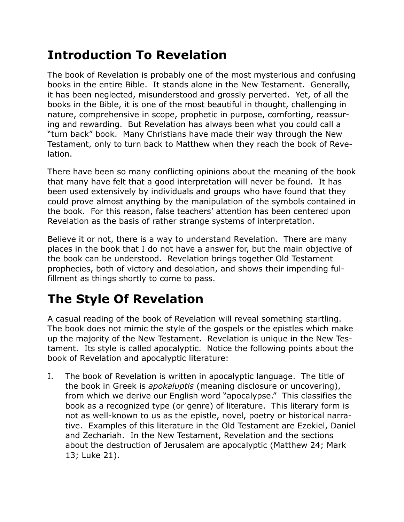## **Introduction To Revelation**

The book of Revelation is probably one of the most mysterious and confusing books in the entire Bible. It stands alone in the New Testament. Generally, it has been neglected, misunderstood and grossly perverted. Yet, of all the books in the Bible, it is one of the most beautiful in thought, challenging in nature, comprehensive in scope, prophetic in purpose, comforting, reassuring and rewarding. But Revelation has always been what you could call a "turn back" book. Many Christians have made their way through the New Testament, only to turn back to Matthew when they reach the book of Revelation.

There have been so many conflicting opinions about the meaning of the book that many have felt that a good interpretation will never be found. It has been used extensively by individuals and groups who have found that they could prove almost anything by the manipulation of the symbols contained in the book. For this reason, false teachers' attention has been centered upon Revelation as the basis of rather strange systems of interpretation.

Believe it or not, there is a way to understand Revelation. There are many places in the book that I do not have a answer for, but the main objective of the book can be understood. Revelation brings together Old Testament prophecies, both of victory and desolation, and shows their impending fulfillment as things shortly to come to pass.

# **The Style Of Revelation**

A casual reading of the book of Revelation will reveal something startling. The book does not mimic the style of the gospels or the epistles which make up the majority of the New Testament. Revelation is unique in the New Testament. Its style is called apocalyptic. Notice the following points about the book of Revelation and apocalyptic literature:

I. The book of Revelation is written in apocalyptic language. The title of the book in Greek is *apokaluptis* (meaning disclosure or uncovering), from which we derive our English word "apocalypse." This classifies the book as a recognized type (or genre) of literature. This literary form is not as well-known to us as the epistle, novel, poetry or historical narrative. Examples of this literature in the Old Testament are Ezekiel, Daniel and Zechariah. In the New Testament, Revelation and the sections about the destruction of Jerusalem are apocalyptic (Matthew 24; Mark 13; Luke 21).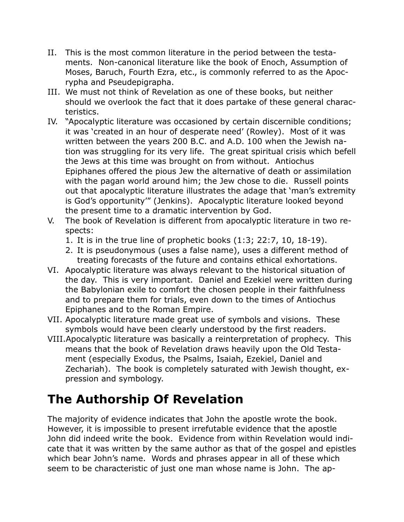- II. This is the most common literature in the period between the testaments. Non-canonical literature like the book of Enoch, Assumption of Moses, Baruch, Fourth Ezra, etc., is commonly referred to as the Apocrypha and Pseudepigrapha.
- III. We must not think of Revelation as one of these books, but neither should we overlook the fact that it does partake of these general characteristics.
- IV. "Apocalyptic literature was occasioned by certain discernible conditions; it was 'created in an hour of desperate need' (Rowley). Most of it was written between the years 200 B.C. and A.D. 100 when the Jewish nation was struggling for its very life. The great spiritual crisis which befell the Jews at this time was brought on from without. Antiochus Epiphanes offered the pious Jew the alternative of death or assimilation with the pagan world around him; the Jew chose to die. Russell points out that apocalyptic literature illustrates the adage that 'man's extremity is God's opportunity'" (Jenkins). Apocalyptic literature looked beyond the present time to a dramatic intervention by God.
- V. The book of Revelation is different from apocalyptic literature in two respects:
	- 1. It is in the true line of prophetic books (1:3; 22:7, 10, 18-19).
	- 2. It is pseudonymous (uses a false name), uses a different method of treating forecasts of the future and contains ethical exhortations.
- VI. Apocalyptic literature was always relevant to the historical situation of the day. This is very important. Daniel and Ezekiel were written during the Babylonian exile to comfort the chosen people in their faithfulness and to prepare them for trials, even down to the times of Antiochus Epiphanes and to the Roman Empire.
- VII. Apocalyptic literature made great use of symbols and visions. These symbols would have been clearly understood by the first readers.
- VIII.Apocalyptic literature was basically a reinterpretation of prophecy. This means that the book of Revelation draws heavily upon the Old Testament (especially Exodus, the Psalms, Isaiah, Ezekiel, Daniel and Zechariah). The book is completely saturated with Jewish thought, expression and symbology.

### **The Authorship Of Revelation**

The majority of evidence indicates that John the apostle wrote the book. However, it is impossible to present irrefutable evidence that the apostle John did indeed write the book. Evidence from within Revelation would indicate that it was written by the same author as that of the gospel and epistles which bear John's name. Words and phrases appear in all of these which seem to be characteristic of just one man whose name is John. The ap-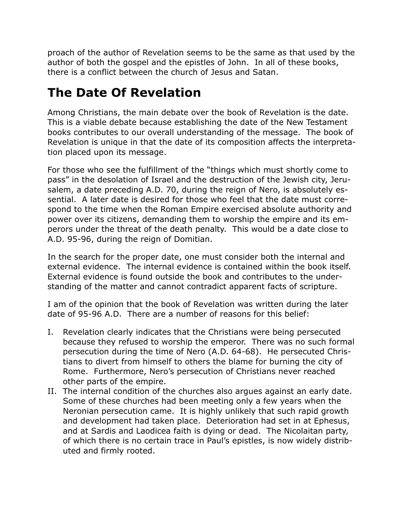proach of the author of Revelation seems to be the same as that used by the author of both the gospel and the epistles of John. In all of these books, there is a conflict between the church of Jesus and Satan.

### **The Date Of Revelation**

Among Christians, the main debate over the book of Revelation is the date. This is a viable debate because establishing the date of the New Testament books contributes to our overall understanding of the message. The book of Revelation is unique in that the date of its composition affects the interpretation placed upon its message.

For those who see the fulfillment of the "things which must shortly come to pass" in the desolation of Israel and the destruction of the Jewish city, Jerusalem, a date preceding A.D. 70, during the reign of Nero, is absolutely essential. A later date is desired for those who feel that the date must correspond to the time when the Roman Empire exercised absolute authority and power over its citizens, demanding them to worship the empire and its emperors under the threat of the death penalty. This would be a date close to A.D. 95-96, during the reign of Domitian.

In the search for the proper date, one must consider both the internal and external evidence. The internal evidence is contained within the book itself. External evidence is found outside the book and contributes to the understanding of the matter and cannot contradict apparent facts of scripture.

I am of the opinion that the book of Revelation was written during the later date of 95-96 A.D. There are a number of reasons for this belief:

- I. Revelation clearly indicates that the Christians were being persecuted because they refused to worship the emperor. There was no such formal persecution during the time of Nero (A.D. 64-68). He persecuted Christians to divert from himself to others the blame for burning the city of Rome. Furthermore, Nero's persecution of Christians never reached other parts of the empire.
- II. The internal condition of the churches also argues against an early date. Some of these churches had been meeting only a few years when the Neronian persecution came. It is highly unlikely that such rapid growth and development had taken place. Deterioration had set in at Ephesus, and at Sardis and Laodicea faith is dying or dead. The Nicolaitan party, of which there is no certain trace in Paul's epistles, is now widely distributed and firmly rooted.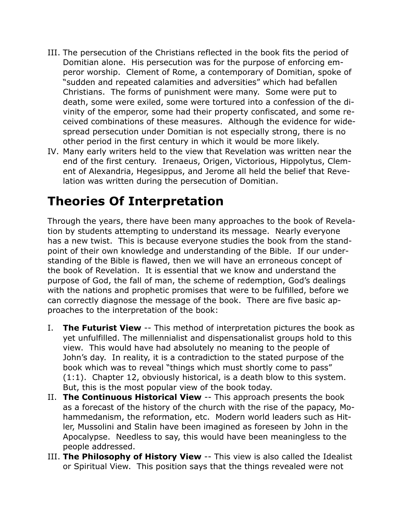- III. The persecution of the Christians reflected in the book fits the period of Domitian alone. His persecution was for the purpose of enforcing emperor worship. Clement of Rome, a contemporary of Domitian, spoke of "sudden and repeated calamities and adversities" which had befallen Christians. The forms of punishment were many. Some were put to death, some were exiled, some were tortured into a confession of the divinity of the emperor, some had their property confiscated, and some received combinations of these measures. Although the evidence for widespread persecution under Domitian is not especially strong, there is no other period in the first century in which it would be more likely.
- IV. Many early writers held to the view that Revelation was written near the end of the first century. Irenaeus, Origen, Victorious, Hippolytus, Clement of Alexandria, Hegesippus, and Jerome all held the belief that Revelation was written during the persecution of Domitian.

#### **Theories Of Interpretation**

Through the years, there have been many approaches to the book of Revelation by students attempting to understand its message. Nearly everyone has a new twist. This is because everyone studies the book from the standpoint of their own knowledge and understanding of the Bible. If our understanding of the Bible is flawed, then we will have an erroneous concept of the book of Revelation. It is essential that we know and understand the purpose of God, the fall of man, the scheme of redemption, God's dealings with the nations and prophetic promises that were to be fulfilled, before we can correctly diagnose the message of the book. There are five basic approaches to the interpretation of the book:

- I. **The Futurist View** -- This method of interpretation pictures the book as yet unfulfilled. The millennialist and dispensationalist groups hold to this view. This would have had absolutely no meaning to the people of John's day. In reality, it is a contradiction to the stated purpose of the book which was to reveal "things which must shortly come to pass" (1:1). Chapter 12, obviously historical, is a death blow to this system. But, this is the most popular view of the book today.
- II. **The Continuous Historical View** -- This approach presents the book as a forecast of the history of the church with the rise of the papacy, Mohammedanism, the reformation, etc. Modern world leaders such as Hitler, Mussolini and Stalin have been imagined as foreseen by John in the Apocalypse. Needless to say, this would have been meaningless to the people addressed.
- III. **The Philosophy of History View** -- This view is also called the Idealist or Spiritual View. This position says that the things revealed were not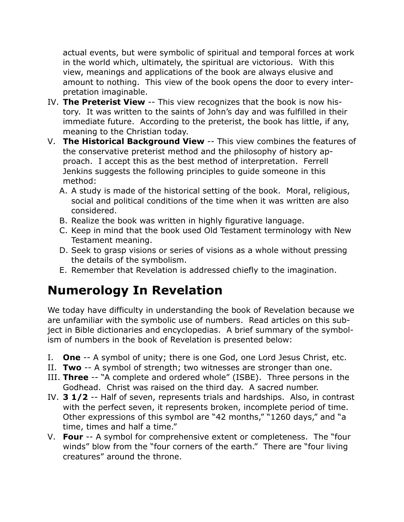actual events, but were symbolic of spiritual and temporal forces at work in the world which, ultimately, the spiritual are victorious. With this view, meanings and applications of the book are always elusive and amount to nothing. This view of the book opens the door to every interpretation imaginable.

- IV. **The Preterist View** -- This view recognizes that the book is now history. It was written to the saints of John's day and was fulfilled in their immediate future. According to the preterist, the book has little, if any, meaning to the Christian today.
- V. **The Historical Background View** -- This view combines the features of the conservative preterist method and the philosophy of history approach. I accept this as the best method of interpretation. Ferrell Jenkins suggests the following principles to guide someone in this method:
	- A. A study is made of the historical setting of the book. Moral, religious, social and political conditions of the time when it was written are also considered.
	- B. Realize the book was written in highly figurative language.
	- C. Keep in mind that the book used Old Testament terminology with New Testament meaning.
	- D. Seek to grasp visions or series of visions as a whole without pressing the details of the symbolism.
	- E. Remember that Revelation is addressed chiefly to the imagination.

# **Numerology In Revelation**

We today have difficulty in understanding the book of Revelation because we are unfamiliar with the symbolic use of numbers. Read articles on this subject in Bible dictionaries and encyclopedias. A brief summary of the symbolism of numbers in the book of Revelation is presented below:

- I. **One** -- A symbol of unity; there is one God, one Lord Jesus Christ, etc.
- II. **Two** -- A symbol of strength; two witnesses are stronger than one.
- III. **Three** -- "A complete and ordered whole" (ISBE). Three persons in the Godhead. Christ was raised on the third day. A sacred number.
- IV. **3 1/2** -- Half of seven, represents trials and hardships. Also, in contrast with the perfect seven, it represents broken, incomplete period of time. Other expressions of this symbol are "42 months," "1260 days," and "a time, times and half a time."
- V. **Four** -- A symbol for comprehensive extent or completeness. The "four winds" blow from the "four corners of the earth." There are "four living creatures" around the throne.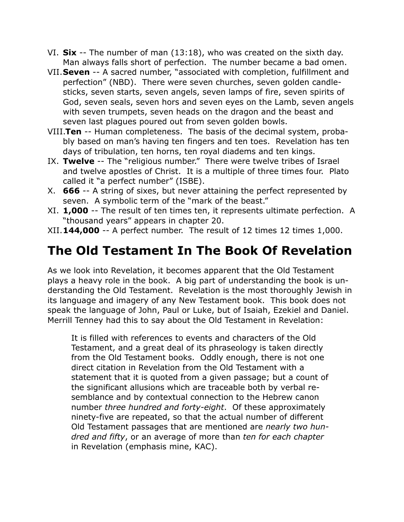- VI. **Six** -- The number of man (13:18), who was created on the sixth day. Man always falls short of perfection. The number became a bad omen.
- VII.**Seven** -- A sacred number, "associated with completion, fulfillment and perfection" (NBD). There were seven churches, seven golden candlesticks, seven starts, seven angels, seven lamps of fire, seven spirits of God, seven seals, seven hors and seven eyes on the Lamb, seven angels with seven trumpets, seven heads on the dragon and the beast and seven last plagues poured out from seven golden bowls.
- VIII.**Ten** -- Human completeness. The basis of the decimal system, probably based on man's having ten fingers and ten toes. Revelation has ten days of tribulation, ten horns, ten royal diadems and ten kings.
- IX. **Twelve** -- The "religious number." There were twelve tribes of Israel and twelve apostles of Christ. It is a multiple of three times four. Plato called it "a perfect number" (ISBE).
- X. **666** -- A string of sixes, but never attaining the perfect represented by seven. A symbolic term of the "mark of the beast."
- XI. **1,000** -- The result of ten times ten, it represents ultimate perfection. A "thousand years" appears in chapter 20.
- XII.**144,000** -- A perfect number. The result of 12 times 12 times 1,000.

## **The Old Testament In The Book Of Revelation**

As we look into Revelation, it becomes apparent that the Old Testament plays a heavy role in the book. A big part of understanding the book is understanding the Old Testament. Revelation is the most thoroughly Jewish in its language and imagery of any New Testament book. This book does not speak the language of John, Paul or Luke, but of Isaiah, Ezekiel and Daniel. Merrill Tenney had this to say about the Old Testament in Revelation:

It is filled with references to events and characters of the Old Testament, and a great deal of its phraseology is taken directly from the Old Testament books. Oddly enough, there is not one direct citation in Revelation from the Old Testament with a statement that it is quoted from a given passage; but a count of the significant allusions which are traceable both by verbal resemblance and by contextual connection to the Hebrew canon number *three hundred and forty-eight*. Of these approximately ninety-five are repeated, so that the actual number of different Old Testament passages that are mentioned are *nearly two hundred and fifty*, or an average of more than *ten for each chapter* in Revelation (emphasis mine, KAC).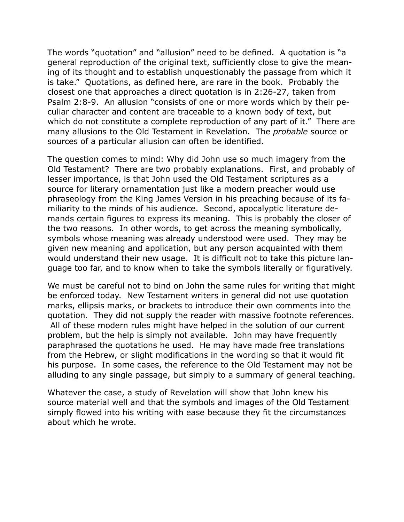The words "quotation" and "allusion" need to be defined. A quotation is "a general reproduction of the original text, sufficiently close to give the meaning of its thought and to establish unquestionably the passage from which it is take." Quotations, as defined here, are rare in the book. Probably the closest one that approaches a direct quotation is in 2:26-27, taken from Psalm 2:8-9. An allusion "consists of one or more words which by their peculiar character and content are traceable to a known body of text, but which do not constitute a complete reproduction of any part of it." There are many allusions to the Old Testament in Revelation. The *probable* source or sources of a particular allusion can often be identified.

The question comes to mind: Why did John use so much imagery from the Old Testament? There are two probably explanations. First, and probably of lesser importance, is that John used the Old Testament scriptures as a source for literary ornamentation just like a modern preacher would use phraseology from the King James Version in his preaching because of its familiarity to the minds of his audience. Second, apocalyptic literature demands certain figures to express its meaning. This is probably the closer of the two reasons. In other words, to get across the meaning symbolically, symbols whose meaning was already understood were used. They may be given new meaning and application, but any person acquainted with them would understand their new usage. It is difficult not to take this picture language too far, and to know when to take the symbols literally or figuratively.

We must be careful not to bind on John the same rules for writing that might be enforced today. New Testament writers in general did not use quotation marks, ellipsis marks, or brackets to introduce their own comments into the quotation. They did not supply the reader with massive footnote references. All of these modern rules might have helped in the solution of our current problem, but the help is simply not available. John may have frequently paraphrased the quotations he used. He may have made free translations from the Hebrew, or slight modifications in the wording so that it would fit his purpose. In some cases, the reference to the Old Testament may not be alluding to any single passage, but simply to a summary of general teaching.

Whatever the case, a study of Revelation will show that John knew his source material well and that the symbols and images of the Old Testament simply flowed into his writing with ease because they fit the circumstances about which he wrote.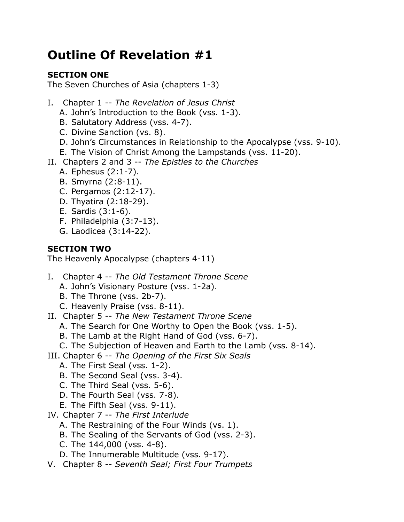## **Outline Of Revelation #1**

#### **SECTION ONE**

The Seven Churches of Asia (chapters 1-3)

- I. Chapter 1 -- *The Revelation of Jesus Christ*
	- A. John's Introduction to the Book (vss. 1-3).
	- B. Salutatory Address (vss. 4-7).
	- C. Divine Sanction (vs. 8).
	- D. John's Circumstances in Relationship to the Apocalypse (vss. 9-10).
	- E. The Vision of Christ Among the Lampstands (vss. 11-20).
- II. Chapters 2 and 3 -- *The Epistles to the Churches*
	- A. Ephesus (2:1-7).
	- B. Smyrna (2:8-11).
	- C. Pergamos (2:12-17).
	- D. Thyatira (2:18-29).
	- E. Sardis (3:1-6).
	- F. Philadelphia (3:7-13).
	- G. Laodicea (3:14-22).

#### **SECTION TWO**

The Heavenly Apocalypse (chapters 4-11)

- I. Chapter 4 -- *The Old Testament Throne Scene*
	- A. John's Visionary Posture (vss. 1-2a).
	- B. The Throne (vss. 2b-7).
	- C. Heavenly Praise (vss. 8-11).
- II. Chapter 5 -- *The New Testament Throne Scene*
	- A. The Search for One Worthy to Open the Book (vss. 1-5).
	- B. The Lamb at the Right Hand of God (vss. 6-7).
	- C. The Subjection of Heaven and Earth to the Lamb (vss. 8-14).
- III. Chapter 6 -- *The Opening of the First Six Seals*
	- A. The First Seal (vss. 1-2).
	- B. The Second Seal (vss. 3-4).
	- C. The Third Seal (vss. 5-6).
	- D. The Fourth Seal (vss. 7-8).
	- E. The Fifth Seal (vss. 9-11).
- IV. Chapter 7 -- *The First Interlude*
	- A. The Restraining of the Four Winds (vs. 1).
	- B. The Sealing of the Servants of God (vss. 2-3).
	- C. The 144,000 (vss. 4-8).
	- D. The Innumerable Multitude (vss. 9-17).
- V. Chapter 8 -- *Seventh Seal; First Four Trumpets*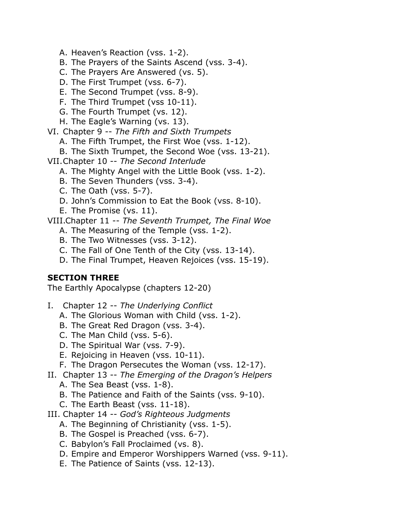- A. Heaven's Reaction (vss. 1-2).
- B. The Prayers of the Saints Ascend (vss. 3-4).
- C. The Prayers Are Answered (vs. 5).
- D. The First Trumpet (vss. 6-7).
- E. The Second Trumpet (vss. 8-9).
- F. The Third Trumpet (vss 10-11).
- G. The Fourth Trumpet (vs. 12).
- H. The Eagle's Warning (vs. 13).
- VI. Chapter 9 -- *The Fifth and Sixth Trumpets*
	- A. The Fifth Trumpet, the First Woe (vss. 1-12).
- B. The Sixth Trumpet, the Second Woe (vss. 13-21).
- VII.Chapter 10 -- *The Second Interlude*
	- A. The Mighty Angel with the Little Book (vss. 1-2).
	- B. The Seven Thunders (vss. 3-4).
	- C. The Oath (vss. 5-7).
	- D. John's Commission to Eat the Book (vss. 8-10).
	- E. The Promise (vs. 11).

VIII.Chapter 11 -- *The Seventh Trumpet, The Final Woe*

- A. The Measuring of the Temple (vss. 1-2).
- B. The Two Witnesses (vss. 3-12).
- C. The Fall of One Tenth of the City (vss. 13-14).
- D. The Final Trumpet, Heaven Rejoices (vss. 15-19).

#### **SECTION THREE**

The Earthly Apocalypse (chapters 12-20)

- I. Chapter 12 -- *The Underlying Conflict*
	- A. The Glorious Woman with Child (vss. 1-2).
	- B. The Great Red Dragon (vss. 3-4).
	- C. The Man Child (vss. 5-6).
	- D. The Spiritual War (vss. 7-9).
	- E. Rejoicing in Heaven (vss. 10-11).
	- F. The Dragon Persecutes the Woman (vss. 12-17).
- II. Chapter 13 -- *The Emerging of the Dragon's Helpers*
	- A. The Sea Beast (vss. 1-8).
	- B. The Patience and Faith of the Saints (vss. 9-10).
	- C. The Earth Beast (vss. 11-18).
- III. Chapter 14 -- *God's Righteous Judgments*
	- A. The Beginning of Christianity (vss. 1-5).
	- B. The Gospel is Preached (vss. 6-7).
	- C. Babylon's Fall Proclaimed (vs. 8).
	- D. Empire and Emperor Worshippers Warned (vss. 9-11).
	- E. The Patience of Saints (vss. 12-13).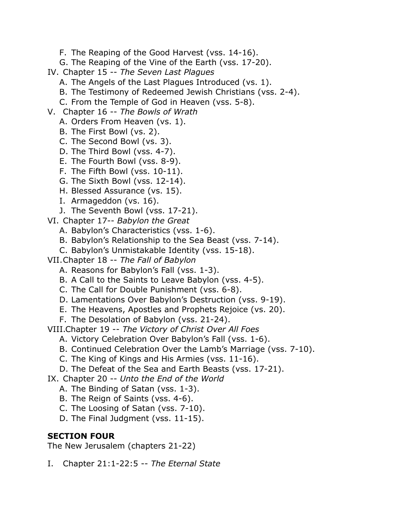- F. The Reaping of the Good Harvest (vss. 14-16).
- G. The Reaping of the Vine of the Earth (vss. 17-20).
- IV. Chapter 15 -- *The Seven Last Plagues*
	- A. The Angels of the Last Plagues Introduced (vs. 1).
	- B. The Testimony of Redeemed Jewish Christians (vss. 2-4).
	- C. From the Temple of God in Heaven (vss. 5-8).
- V. Chapter 16 -- *The Bowls of Wrath*
	- A. Orders From Heaven (vs. 1).
	- B. The First Bowl (vs. 2).
	- C. The Second Bowl (vs. 3).
	- D. The Third Bowl (vss. 4-7).
	- E. The Fourth Bowl (vss. 8-9).
	- F. The Fifth Bowl (vss. 10-11).
	- G. The Sixth Bowl (vss. 12-14).
	- H. Blessed Assurance (vs. 15).
	- I. Armageddon (vs. 16).
	- J. The Seventh Bowl (vss. 17-21).
- VI. Chapter 17-- *Babylon the Great*
	- A. Babylon's Characteristics (vss. 1-6).
	- B. Babylon's Relationship to the Sea Beast (vss. 7-14).
	- C. Babylon's Unmistakable Identity (vss. 15-18).
- VII.Chapter 18 -- *The Fall of Babylon*
	- A. Reasons for Babylon's Fall (vss. 1-3).
	- B. A Call to the Saints to Leave Babylon (vss. 4-5).
	- C. The Call for Double Punishment (vss. 6-8).
	- D. Lamentations Over Babylon's Destruction (vss. 9-19).
	- E. The Heavens, Apostles and Prophets Rejoice (vs. 20).
	- F. The Desolation of Babylon (vss. 21-24).
- VIII.Chapter 19 -- *The Victory of Christ Over All Foes*
	- A. Victory Celebration Over Babylon's Fall (vss. 1-6).
	- B. Continued Celebration Over the Lamb's Marriage (vss. 7-10).
	- C. The King of Kings and His Armies (vss. 11-16).
	- D. The Defeat of the Sea and Earth Beasts (vss. 17-21).
- IX. Chapter 20 -- *Unto the End of the World*
	- A. The Binding of Satan (vss. 1-3).
	- B. The Reign of Saints (vss. 4-6).
	- C. The Loosing of Satan (vss. 7-10).
	- D. The Final Judgment (vss. 11-15).

#### **SECTION FOUR**

The New Jerusalem (chapters 21-22)

I. Chapter 21:1-22:5 -- *The Eternal State*